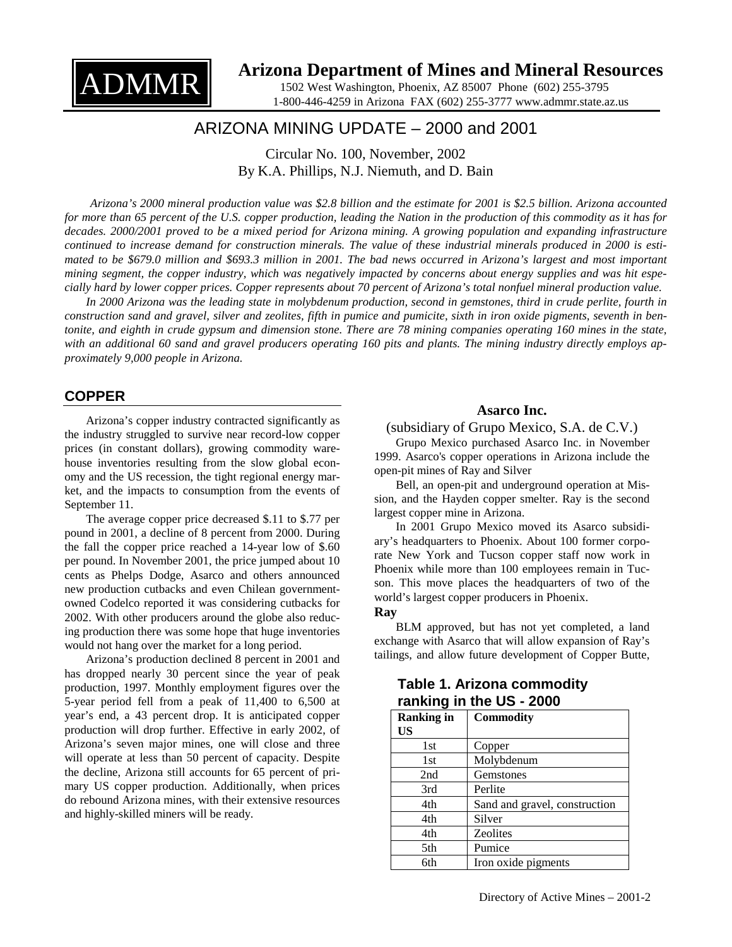

# **Arizona Department of Mines and Mineral Resources**

1502 West Washington, Phoenix, AZ 85007 Phone (602) 255-3795 1-800-446-4259 in Arizona FAX (602) 255-3777 www.admmr.state.az.us

# ARIZONA MINING UPDATE – 2000 and 2001

Circular No. 100, November, 2002 By K.A. Phillips, N.J. Niemuth, and D. Bain

*Arizona's 2000 mineral production value was \$2.8 billion and the estimate for 2001 is \$2.5 billion. Arizona accounted for more than 65 percent of the U.S. copper production, leading the Nation in the production of this commodity as it has for decades. 2000/2001 proved to be a mixed period for Arizona mining. A growing population and expanding infrastructure continued to increase demand for construction minerals. The value of these industrial minerals produced in 2000 is estimated to be \$679.0 million and \$693.3 million in 2001. The bad news occurred in Arizona's largest and most important mining segment, the copper industry, which was negatively impacted by concerns about energy supplies and was hit especially hard by lower copper prices. Copper represents about 70 percent of Arizona's total nonfuel mineral production value.* 

In 2000 Arizona was the leading state in molybdenum production, second in gemstones, third in crude perlite, fourth in *construction sand and gravel, silver and zeolites, fifth in pumice and pumicite, sixth in iron oxide pigments, seventh in bentonite, and eighth in crude gypsum and dimension stone. There are 78 mining companies operating 160 mines in the state, with an additional 60 sand and gravel producers operating 160 pits and plants. The mining industry directly employs approximately 9,000 people in Arizona.* 

## **COPPER**

Arizona's copper industry contracted significantly as the industry struggled to survive near record-low copper prices (in constant dollars), growing commodity warehouse inventories resulting from the slow global economy and the US recession, the tight regional energy market, and the impacts to consumption from the events of September 11.

The average copper price decreased \$.11 to \$.77 per pound in 2001, a decline of 8 percent from 2000. During the fall the copper price reached a 14-year low of \$.60 per pound. In November 2001, the price jumped about 10 cents as Phelps Dodge, Asarco and others announced new production cutbacks and even Chilean governmentowned Codelco reported it was considering cutbacks for 2002. With other producers around the globe also reducing production there was some hope that huge inventories would not hang over the market for a long period.

Arizona's production declined 8 percent in 2001 and has dropped nearly 30 percent since the year of peak production, 1997. Monthly employment figures over the 5-year period fell from a peak of 11,400 to 6,500 at year's end, a 43 percent drop. It is anticipated copper production will drop further. Effective in early 2002, of Arizona's seven major mines, one will close and three will operate at less than 50 percent of capacity. Despite the decline, Arizona still accounts for 65 percent of primary US copper production. Additionally, when prices do rebound Arizona mines, with their extensive resources and highly-skilled miners will be ready.

## **Asarco Inc.**

(subsidiary of Grupo Mexico, S.A. de C.V.)

Grupo Mexico purchased Asarco Inc. in November 1999. Asarco's copper operations in Arizona include the open-pit mines of Ray and Silver

Bell, an open-pit and underground operation at Mission, and the Hayden copper smelter. Ray is the second largest copper mine in Arizona.

In 2001 Grupo Mexico moved its Asarco subsidiary's headquarters to Phoenix. About 100 former corporate New York and Tucson copper staff now work in Phoenix while more than 100 employees remain in Tucson. This move places the headquarters of two of the world's largest copper producers in Phoenix.

## **Ray**

BLM approved, but has not yet completed, a land exchange with Asarco that will allow expansion of Ray's tailings, and allow future development of Copper Butte,

| ranking in the US - 2000 |                               |  |  |  |
|--------------------------|-------------------------------|--|--|--|
| <b>Ranking in</b><br>US  | <b>Commodity</b>              |  |  |  |
| 1st                      | Copper                        |  |  |  |
| 1st                      | Molybdenum                    |  |  |  |
| 2nd                      | Gemstones                     |  |  |  |
| 3rd                      | Perlite                       |  |  |  |
| 4th                      | Sand and gravel, construction |  |  |  |
| 4th                      | Silver                        |  |  |  |
| 4th                      | <b>Zeolites</b>               |  |  |  |
| 5th                      | Pumice                        |  |  |  |
| 6th                      | Iron oxide pigments           |  |  |  |

## **Table 1. Arizona commodity ranking in the US - 2000**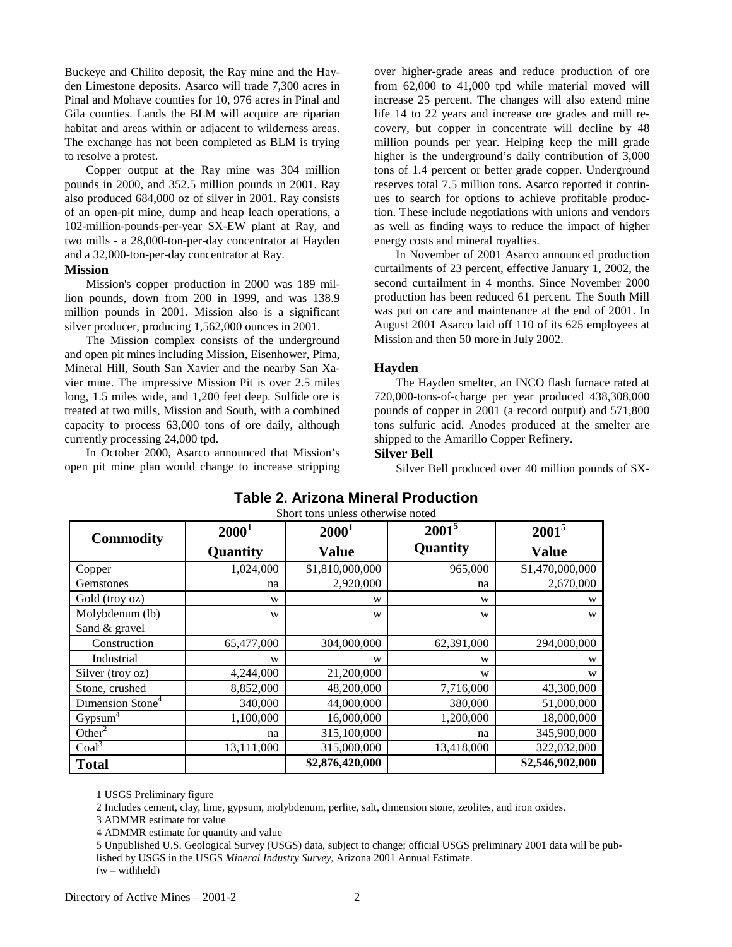Buckeye and Chilito deposit, the Ray mine and the Hayden Limestone deposits. Asarco will trade 7,300 acres in Pinal and Mohave counties for 10, 976 acres in Pinal and Gila counties. Lands the BLM will acquire are riparian habitat and areas within or adjacent to wilderness areas. The exchange has not been completed as BLM is trying to resolve a protest.

Copper output at the Ray mine was 304 million pounds in 2000, and 352.5 million pounds in 2001. Ray also produced 684,000 oz of silver in 2001. Ray consists of an open-pit mine, dump and heap leach operations, a 102-million-pounds-per-year SX-EW plant at Ray, and two mills - a 28,000-ton-per-day concentrator at Hayden and a 32,000-ton-per-day concentrator at Ray.

#### **Mission**

Mission's copper production in 2000 was 189 million pounds, down from 200 in 1999, and was 138.9 million pounds in 2001. Mission also is a significant silver producer, producing 1,562,000 ounces in 2001.

The Mission complex consists of the underground and open pit mines including Mission, Eisenhower, Pima, Mineral Hill, South San Xavier and the nearby San Xavier mine. The impressive Mission Pit is over 2.5 miles long, 1.5 miles wide, and 1,200 feet deep. Sulfide ore is treated at two mills, Mission and South, with a combined capacity to process 63,000 tons of ore daily, although currently processing 24,000 tpd.

In October 2000, Asarco announced that Mission's open pit mine plan would change to increase stripping over higher-grade areas and reduce production of ore from 62,000 to 41,000 tpd while material moved will increase 25 percent. The changes will also extend mine life 14 to 22 years and increase ore grades and mill recovery, but copper in concentrate will decline by 48 million pounds per year. Helping keep the mill grade higher is the underground's daily contribution of 3,000 tons of 1.4 percent or better grade copper. Underground reserves total 7.5 million tons. Asarco reported it continues to search for options to achieve profitable production. These include negotiations with unions and vendors as well as finding ways to reduce the impact of higher energy costs and mineral royalties.

In November of 2001 Asarco announced production curtailments of 23 percent, effective January 1, 2002, the second curtailment in 4 months. Since November 2000 production has been reduced 61 percent. The South Mill was put on care and maintenance at the end of 2001. In August 2001 Asarco laid off 110 of its 625 employees at Mission and then 50 more in July 2002.

## **Hayden**

The Hayden smelter, an INCO flash furnace rated at 720,000-tons-of-charge per year produced 438,308,000 pounds of copper in 2001 (a record output) and 571,800 tons sulfuric acid. Anodes produced at the smelter are shipped to the Amarillo Copper Refinery.

## **Silver Bell**

Silver Bell produced over 40 million pounds of SX-

| <b>Commodity</b>             | $2000^1$   | $2000^1$        | $2001^5$   | $2001^5$        |
|------------------------------|------------|-----------------|------------|-----------------|
|                              | Quantity   | <b>Value</b>    | Quantity   | <b>Value</b>    |
| Copper                       | 1,024,000  | \$1,810,000,000 | 965,000    | \$1,470,000,000 |
| Gemstones                    | na         | 2,920,000       | na         | 2,670,000       |
| Gold (troy oz)               | W          | W               | W          | W               |
| Molybdenum (lb)              | W          | W               | W          | W               |
| Sand & gravel                |            |                 |            |                 |
| Construction                 | 65,477,000 | 304,000,000     | 62,391,000 | 294,000,000     |
| Industrial                   | W          | W               | W          | W               |
| Silver (troy oz)             | 4,244,000  | 21,200,000      | W          | W               |
| Stone, crushed               | 8,852,000  | 48,200,000      | 7,716,000  | 43,300,000      |
| Dimension Stone <sup>4</sup> | 340,000    | 44,000,000      | 380,000    | 51,000,000      |
| Gypsum <sup>4</sup>          | 1,100,000  | 16,000,000      | 1,200,000  | 18,000,000      |
| Other <sup>2</sup>           | na         | 315,100,000     | na         | 345,900,000     |
| Coal <sup>3</sup>            | 13,111,000 | 315,000,000     | 13,418,000 | 322,032,000     |
| <b>Total</b>                 |            | \$2,876,420,000 |            | \$2,546,902,000 |

#### **Table 2. Arizona Mineral Production** Short tons unless otherwise noted

1 USGS Preliminary figure

2 Includes cement, clay, lime, gypsum, molybdenum, perlite, salt, dimension stone, zeolites, and iron oxides.

3 ADMMR estimate for value

4 ADMMR estimate for quantity and value

5 Unpublished U.S. Geological Survey (USGS) data, subject to change; official USGS preliminary 2001 data will be published by USGS in the USGS *Mineral Industry Survey*, Arizona 2001 Annual Estimate. (w – withheld)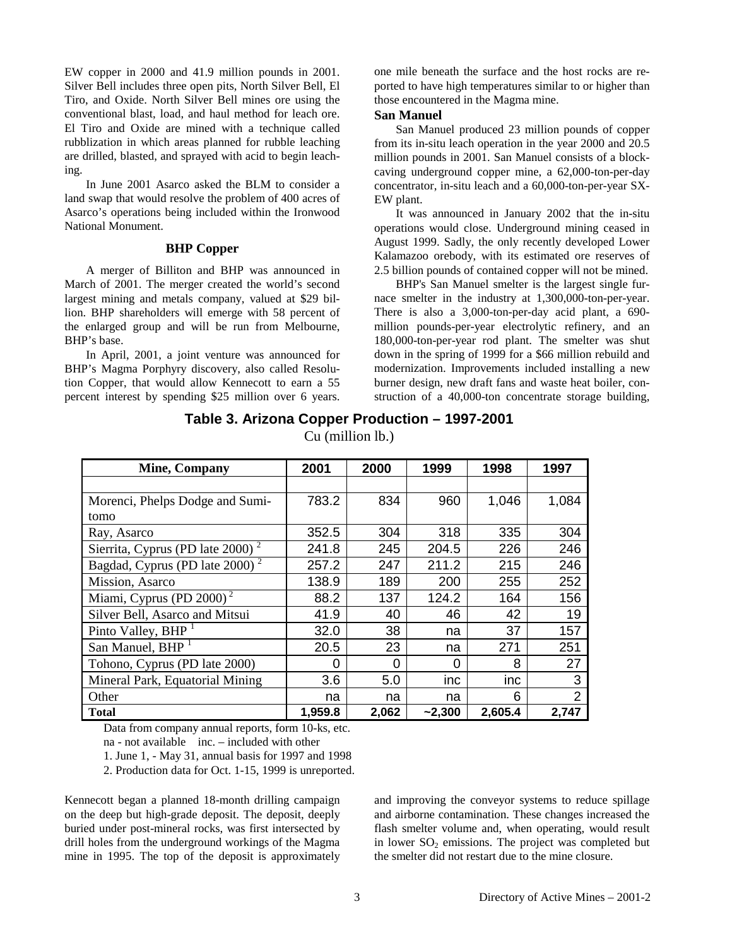EW copper in 2000 and 41.9 million pounds in 2001. Silver Bell includes three open pits, North Silver Bell, El Tiro, and Oxide. North Silver Bell mines ore using the conventional blast, load, and haul method for leach ore. El Tiro and Oxide are mined with a technique called rubblization in which areas planned for rubble leaching are drilled, blasted, and sprayed with acid to begin leaching.

In June 2001 Asarco asked the BLM to consider a land swap that would resolve the problem of 400 acres of Asarco's operations being included within the Ironwood National Monument.

#### **BHP Copper**

A merger of Billiton and BHP was announced in March of 2001. The merger created the world's second largest mining and metals company, valued at \$29 billion. BHP shareholders will emerge with 58 percent of the enlarged group and will be run from Melbourne, BHP's base.

In April, 2001, a joint venture was announced for BHP's Magma Porphyry discovery, also called Resolution Copper, that would allow Kennecott to earn a 55 percent interest by spending \$25 million over 6 years. one mile beneath the surface and the host rocks are reported to have high temperatures similar to or higher than those encountered in the Magma mine.

#### **San Manuel**

San Manuel produced 23 million pounds of copper from its in-situ leach operation in the year 2000 and 20.5 million pounds in 2001. San Manuel consists of a blockcaving underground copper mine, a 62,000-ton-per-day concentrator, in-situ leach and a 60,000-ton-per-year SX-EW plant.

It was announced in January 2002 that the in-situ operations would close. Underground mining ceased in August 1999. Sadly, the only recently developed Lower Kalamazoo orebody, with its estimated ore reserves of 2.5 billion pounds of contained copper will not be mined.

BHP's San Manuel smelter is the largest single furnace smelter in the industry at 1,300,000-ton-per-year. There is also a 3,000-ton-per-day acid plant, a 690 million pounds-per-year electrolytic refinery, and an 180,000-ton-per-year rod plant. The smelter was shut down in the spring of 1999 for a \$66 million rebuild and modernization. Improvements included installing a new burner design, new draft fans and waste heat boiler, construction of a 40,000-ton concentrate storage building,

| <b>Mine, Company</b>                         | 2001    | 2000     | 1999     | 1998    | 1997           |
|----------------------------------------------|---------|----------|----------|---------|----------------|
|                                              |         |          |          |         |                |
| Morenci, Phelps Dodge and Sumi-              | 783.2   | 834      | 960      | 1,046   | 1,084          |
| tomo                                         |         |          |          |         |                |
| Ray, Asarco                                  | 352.5   | 304      | 318      | 335     | 304            |
| Sierrita, Cyprus (PD late 2000) <sup>2</sup> | 241.8   | 245      | 204.5    | 226     | 246            |
| Bagdad, Cyprus (PD late 2000) <sup>2</sup>   | 257.2   | 247      | 211.2    | 215     | 246            |
| Mission, Asarco                              | 138.9   | 189      | 200      | 255     | 252            |
| Miami, Cyprus (PD 2000) $^2$                 | 88.2    | 137      | 124.2    | 164     | 156            |
| Silver Bell, Asarco and Mitsui               | 41.9    | 40       | 46       | 42      | 19             |
| Pinto Valley, BHP <sup>1</sup>               | 32.0    | 38       | na       | 37      | 157            |
| San Manuel, BHP <sup>1</sup>                 | 20.5    | 23       | na       | 271     | 251            |
| Tohono, Cyprus (PD late 2000)                | 0       | $\Omega$ | 0        | 8       | 27             |
| Mineral Park, Equatorial Mining              | 3.6     | 5.0      | inc      | inc     | 3              |
| Other                                        | na      | na       | na       | 6       | $\overline{2}$ |
| Total                                        | 1,959.8 | 2,062    | $-2,300$ | 2,605.4 | 2,747          |

**Table 3. Arizona Copper Production – 1997-2001**  Cu (million lb.)

Data from company annual reports, form 10-ks, etc.

2. Production data for Oct. 1-15, 1999 is unreported.

Kennecott began a planned 18-month drilling campaign on the deep but high-grade deposit. The deposit, deeply buried under post-mineral rocks, was first intersected by drill holes from the underground workings of the Magma mine in 1995. The top of the deposit is approximately and improving the conveyor systems to reduce spillage and airborne contamination. These changes increased the flash smelter volume and, when operating, would result in lower  $SO_2$  emissions. The project was completed but the smelter did not restart due to the mine closure.

na - not available inc. – included with other

<sup>1.</sup> June 1, - May 31, annual basis for 1997 and 1998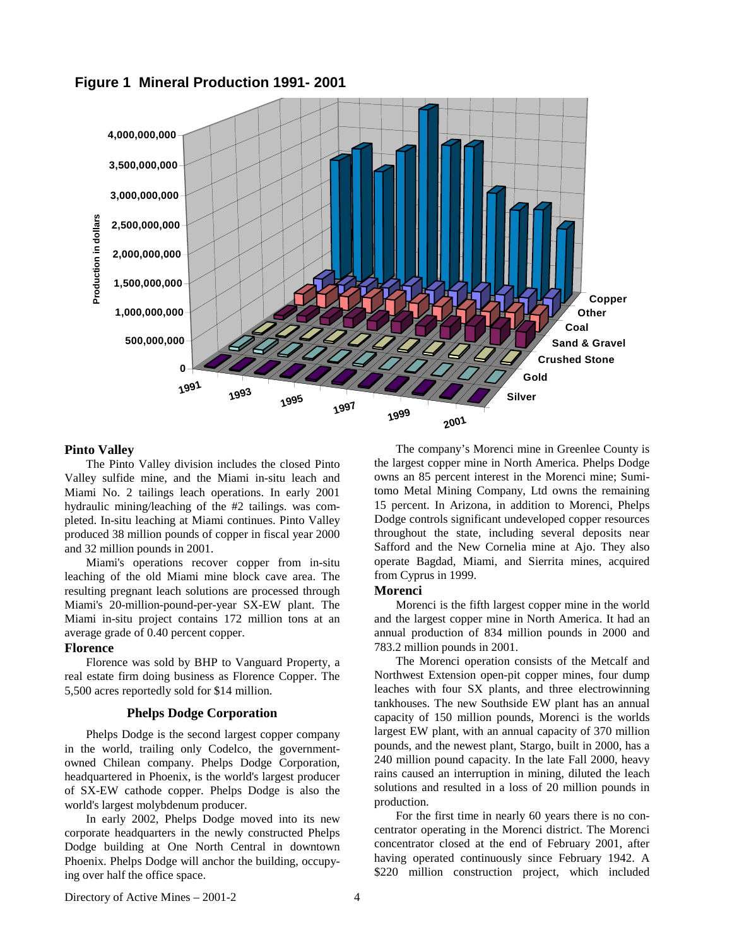**Figure 1 Mineral Production 1991- 2001** 



## **Pinto Valley**

The Pinto Valley division includes the closed Pinto Valley sulfide mine, and the Miami in-situ leach and Miami No. 2 tailings leach operations. In early 2001 hydraulic mining/leaching of the #2 tailings. was completed. In-situ leaching at Miami continues. Pinto Valley produced 38 million pounds of copper in fiscal year 2000 and 32 million pounds in 2001.

Miami's operations recover copper from in-situ leaching of the old Miami mine block cave area. The resulting pregnant leach solutions are processed through Miami's 20-million-pound-per-year SX-EW plant. The Miami in-situ project contains 172 million tons at an average grade of 0.40 percent copper.

#### **Florence**

Florence was sold by BHP to Vanguard Property, a real estate firm doing business as Florence Copper. The 5,500 acres reportedly sold for \$14 million.

## **Phelps Dodge Corporation**

Phelps Dodge is the second largest copper company in the world, trailing only Codelco, the governmentowned Chilean company. Phelps Dodge Corporation, headquartered in Phoenix, is the world's largest producer of SX-EW cathode copper. Phelps Dodge is also the world's largest molybdenum producer.

In early 2002, Phelps Dodge moved into its new corporate headquarters in the newly constructed Phelps Dodge building at One North Central in downtown Phoenix. Phelps Dodge will anchor the building, occupying over half the office space.

The company's Morenci mine in Greenlee County is the largest copper mine in North America. Phelps Dodge owns an 85 percent interest in the Morenci mine; Sumitomo Metal Mining Company, Ltd owns the remaining 15 percent. In Arizona, in addition to Morenci, Phelps Dodge controls significant undeveloped copper resources throughout the state, including several deposits near Safford and the New Cornelia mine at Ajo. They also operate Bagdad, Miami, and Sierrita mines, acquired from Cyprus in 1999.

## **Morenci**

Morenci is the fifth largest copper mine in the world and the largest copper mine in North America. It had an annual production of 834 million pounds in 2000 and 783.2 million pounds in 2001.

The Morenci operation consists of the Metcalf and Northwest Extension open-pit copper mines, four dump leaches with four SX plants, and three electrowinning tankhouses. The new Southside EW plant has an annual capacity of 150 million pounds, Morenci is the worlds largest EW plant, with an annual capacity of 370 million pounds, and the newest plant, Stargo, built in 2000, has a 240 million pound capacity. In the late Fall 2000, heavy rains caused an interruption in mining, diluted the leach solutions and resulted in a loss of 20 million pounds in production.

For the first time in nearly 60 years there is no concentrator operating in the Morenci district. The Morenci concentrator closed at the end of February 2001, after having operated continuously since February 1942. A \$220 million construction project, which included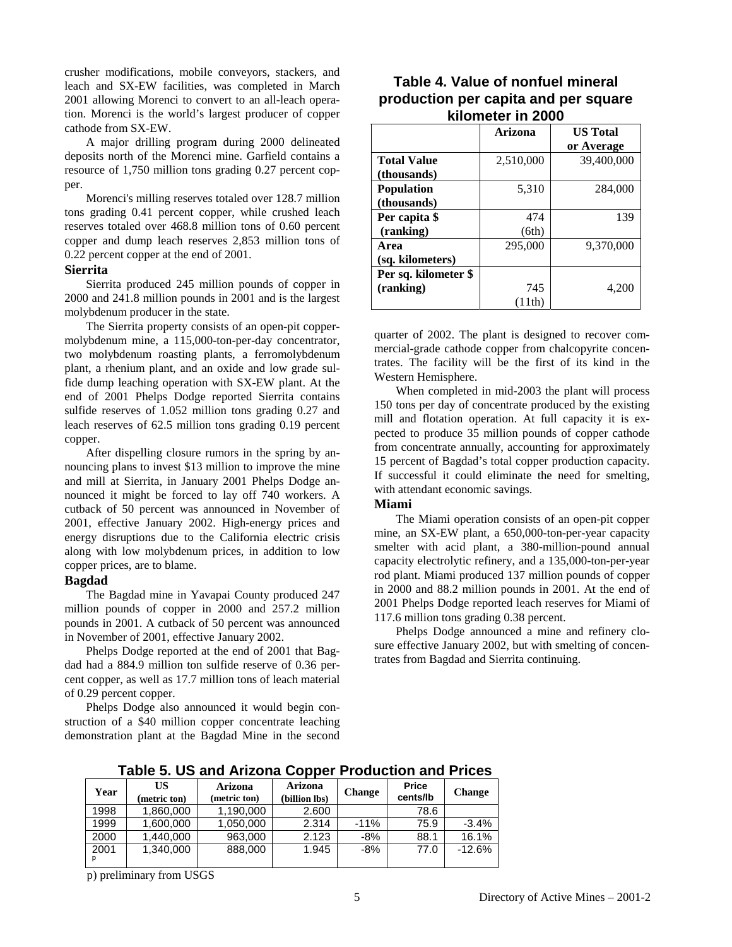crusher modifications, mobile conveyors, stackers, and leach and SX-EW facilities, was completed in March 2001 allowing Morenci to convert to an all-leach operation. Morenci is the world's largest producer of copper cathode from SX-EW.

A major drilling program during 2000 delineated deposits north of the Morenci mine. Garfield contains a resource of 1,750 million tons grading 0.27 percent copper.

Morenci's milling reserves totaled over 128.7 million tons grading 0.41 percent copper, while crushed leach reserves totaled over 468.8 million tons of 0.60 percent copper and dump leach reserves 2,853 million tons of 0.22 percent copper at the end of 2001.

## **Sierrita**

Sierrita produced 245 million pounds of copper in 2000 and 241.8 million pounds in 2001 and is the largest molybdenum producer in the state.

The Sierrita property consists of an open-pit coppermolybdenum mine, a 115,000-ton-per-day concentrator, two molybdenum roasting plants, a ferromolybdenum plant, a rhenium plant, and an oxide and low grade sulfide dump leaching operation with SX-EW plant. At the end of 2001 Phelps Dodge reported Sierrita contains sulfide reserves of 1.052 million tons grading 0.27 and leach reserves of 62.5 million tons grading 0.19 percent copper.

After dispelling closure rumors in the spring by announcing plans to invest \$13 million to improve the mine and mill at Sierrita, in January 2001 Phelps Dodge announced it might be forced to lay off 740 workers. A cutback of 50 percent was announced in November of 2001, effective January 2002. High-energy prices and energy disruptions due to the California electric crisis along with low molybdenum prices, in addition to low copper prices, are to blame.

#### **Bagdad**

The Bagdad mine in Yavapai County produced 247 million pounds of copper in 2000 and 257.2 million pounds in 2001. A cutback of 50 percent was announced in November of 2001, effective January 2002.

Phelps Dodge reported at the end of 2001 that Bagdad had a 884.9 million ton sulfide reserve of 0.36 percent copper, as well as 17.7 million tons of leach material of 0.29 percent copper.

Phelps Dodge also announced it would begin construction of a \$40 million copper concentrate leaching demonstration plant at the Bagdad Mine in the second

## **Table 4. Value of nonfuel mineral production per capita and per square kilometer in 2000**

|                      | Arizona   | <b>US Total</b> |
|----------------------|-----------|-----------------|
|                      |           | or Average      |
| <b>Total Value</b>   | 2,510,000 | 39,400,000      |
| (thousands)          |           |                 |
| <b>Population</b>    | 5,310     | 284,000         |
| (thousands)          |           |                 |
| Per capita \$        | 474       | 139             |
| (ranking)            | (6th)     |                 |
| Area                 | 295,000   | 9,370,000       |
| (sq. kilometers)     |           |                 |
| Per sq. kilometer \$ |           |                 |
| (ranking)            | 745       | 4,200           |
|                      | (11th)    |                 |

quarter of 2002. The plant is designed to recover commercial-grade cathode copper from chalcopyrite concentrates. The facility will be the first of its kind in the Western Hemisphere.

When completed in mid-2003 the plant will process 150 tons per day of concentrate produced by the existing mill and flotation operation. At full capacity it is expected to produce 35 million pounds of copper cathode from concentrate annually, accounting for approximately 15 percent of Bagdad's total copper production capacity. If successful it could eliminate the need for smelting, with attendant economic savings.

#### **Miami**

The Miami operation consists of an open-pit copper mine, an SX-EW plant, a 650,000-ton-per-year capacity smelter with acid plant, a 380-million-pound annual capacity electrolytic refinery, and a 135,000-ton-per-year rod plant. Miami produced 137 million pounds of copper in 2000 and 88.2 million pounds in 2001. At the end of 2001 Phelps Dodge reported leach reserves for Miami of 117.6 million tons grading 0.38 percent.

Phelps Dodge announced a mine and refinery closure effective January 2002, but with smelting of concentrates from Bagdad and Sierrita continuing.

| Year | US<br>(metric ton) | Arizona<br>(metric ton) | <b>Arizona</b><br>(billion lbs) | <b>Change</b> | <b>Price</b><br>cents/lb | <b>Change</b> |
|------|--------------------|-------------------------|---------------------------------|---------------|--------------------------|---------------|
| 1998 | 1,860,000          | 1,190,000               | 2.600                           |               | 78.6                     |               |
| 1999 | 1.600.000          | 1,050,000               | 2.314                           | $-11%$        | 75.9                     | $-3.4%$       |
| 2000 | 1,440,000          | 963,000                 | 2.123                           | $-8%$         | 88.1                     | 16.1%         |
| 2001 | 1.340.000          | 888,000                 | 1.945                           | $-8%$         | 77.0                     | $-12.6%$      |

**Table 5. US and Arizona Copper Production and Prices** 

p) preliminary from USGS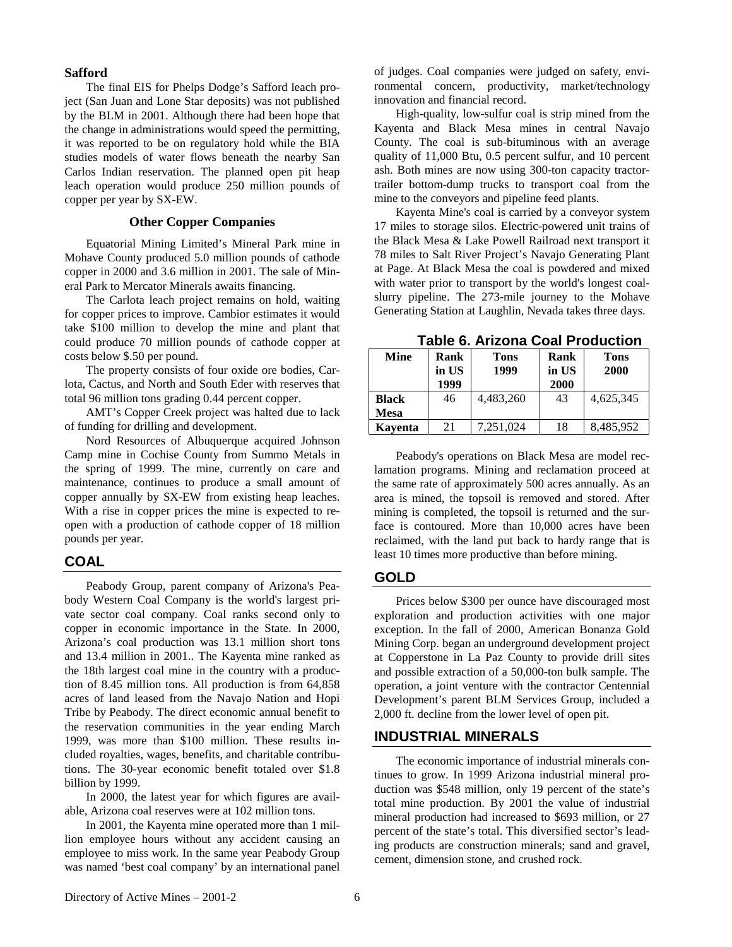#### **Safford**

The final EIS for Phelps Dodge's Safford leach project (San Juan and Lone Star deposits) was not published by the BLM in 2001. Although there had been hope that the change in administrations would speed the permitting, it was reported to be on regulatory hold while the BIA studies models of water flows beneath the nearby San Carlos Indian reservation. The planned open pit heap leach operation would produce 250 million pounds of copper per year by SX-EW.

## **Other Copper Companies**

Equatorial Mining Limited's Mineral Park mine in Mohave County produced 5.0 million pounds of cathode copper in 2000 and 3.6 million in 2001. The sale of Mineral Park to Mercator Minerals awaits financing.

The Carlota leach project remains on hold, waiting for copper prices to improve. Cambior estimates it would take \$100 million to develop the mine and plant that could produce 70 million pounds of cathode copper at costs below \$.50 per pound.

The property consists of four oxide ore bodies, Carlota, Cactus, and North and South Eder with reserves that total 96 million tons grading 0.44 percent copper.

AMT's Copper Creek project was halted due to lack of funding for drilling and development.

Nord Resources of Albuquerque acquired Johnson Camp mine in Cochise County from Summo Metals in the spring of 1999. The mine, currently on care and maintenance, continues to produce a small amount of copper annually by SX-EW from existing heap leaches. With a rise in copper prices the mine is expected to reopen with a production of cathode copper of 18 million pounds per year.

#### **COAL**

Peabody Group, parent company of Arizona's Peabody Western Coal Company is the world's largest private sector coal company. Coal ranks second only to copper in economic importance in the State. In 2000, Arizona's coal production was 13.1 million short tons and 13.4 million in 2001.. The Kayenta mine ranked as the 18th largest coal mine in the country with a production of 8.45 million tons. All production is from 64,858 acres of land leased from the Navajo Nation and Hopi Tribe by Peabody. The direct economic annual benefit to the reservation communities in the year ending March 1999, was more than \$100 million. These results included royalties, wages, benefits, and charitable contributions. The 30-year economic benefit totaled over \$1.8 billion by 1999.

In 2000, the latest year for which figures are available, Arizona coal reserves were at 102 million tons.

In 2001, the Kayenta mine operated more than 1 million employee hours without any accident causing an employee to miss work. In the same year Peabody Group was named 'best coal company' by an international panel of judges. Coal companies were judged on safety, environmental concern, productivity, market/technology innovation and financial record.

High-quality, low-sulfur coal is strip mined from the Kayenta and Black Mesa mines in central Navajo County. The coal is sub-bituminous with an average quality of 11,000 Btu, 0.5 percent sulfur, and 10 percent ash. Both mines are now using 300-ton capacity tractortrailer bottom-dump trucks to transport coal from the mine to the conveyors and pipeline feed plants.

Kayenta Mine's coal is carried by a conveyor system 17 miles to storage silos. Electric-powered unit trains of the Black Mesa & Lake Powell Railroad next transport it 78 miles to Salt River Project's Navajo Generating Plant at Page. At Black Mesa the coal is powdered and mixed with water prior to transport by the world's longest coalslurry pipeline. The 273-mile journey to the Mohave Generating Station at Laughlin, Nevada takes three days.

| TADIG V. AHZUHA UUAH FIUUUCHUH |              |           |       |             |  |  |
|--------------------------------|--------------|-----------|-------|-------------|--|--|
| Mine                           | Rank<br>Tons |           | Rank  | <b>Tons</b> |  |  |
|                                | in US        | 1999      | in US | 2000        |  |  |
|                                | 1999         |           | 2000  |             |  |  |
| <b>Black</b>                   | 46           | 4,483,260 | 43    | 4,625,345   |  |  |
| <b>Mesa</b>                    |              |           |       |             |  |  |
| Kayenta                        | 21           | 7,251,024 | 18    | 8,485,952   |  |  |

**Table 6. Arizona Coal Production** 

Peabody's operations on Black Mesa are model reclamation programs. Mining and reclamation proceed at the same rate of approximately 500 acres annually. As an area is mined, the topsoil is removed and stored. After mining is completed, the topsoil is returned and the surface is contoured. More than 10,000 acres have been reclaimed, with the land put back to hardy range that is least 10 times more productive than before mining.

## **GOLD**

Prices below \$300 per ounce have discouraged most exploration and production activities with one major exception. In the fall of 2000, American Bonanza Gold Mining Corp. began an underground development project at Copperstone in La Paz County to provide drill sites and possible extraction of a 50,000-ton bulk sample. The operation, a joint venture with the contractor Centennial Development's parent BLM Services Group, included a 2,000 ft. decline from the lower level of open pit.

## **INDUSTRIAL MINERALS**

The economic importance of industrial minerals continues to grow. In 1999 Arizona industrial mineral production was \$548 million, only 19 percent of the state's total mine production. By 2001 the value of industrial mineral production had increased to \$693 million, or 27 percent of the state's total. This diversified sector's leading products are construction minerals; sand and gravel, cement, dimension stone, and crushed rock.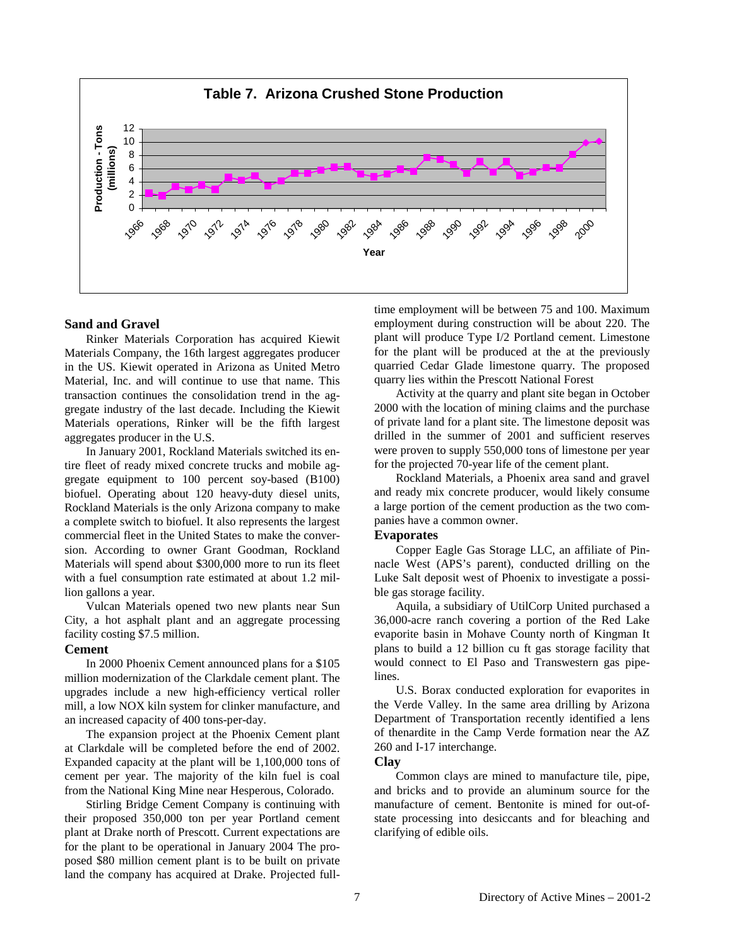

## **Sand and Gravel**

Rinker Materials Corporation has acquired Kiewit Materials Company, the 16th largest aggregates producer in the US. Kiewit operated in Arizona as United Metro Material, Inc. and will continue to use that name. This transaction continues the consolidation trend in the aggregate industry of the last decade. Including the Kiewit Materials operations, Rinker will be the fifth largest aggregates producer in the U.S.

In January 2001, Rockland Materials switched its entire fleet of ready mixed concrete trucks and mobile aggregate equipment to 100 percent soy-based (B100) biofuel. Operating about 120 heavy-duty diesel units, Rockland Materials is the only Arizona company to make a complete switch to biofuel. It also represents the largest commercial fleet in the United States to make the conversion. According to owner Grant Goodman, Rockland Materials will spend about \$300,000 more to run its fleet with a fuel consumption rate estimated at about 1.2 million gallons a year.

Vulcan Materials opened two new plants near Sun City, a hot asphalt plant and an aggregate processing facility costing \$7.5 million.

#### **Cement**

In 2000 Phoenix Cement announced plans for a \$105 million modernization of the Clarkdale cement plant. The upgrades include a new high-efficiency vertical roller mill, a low NOX kiln system for clinker manufacture, and an increased capacity of 400 tons-per-day.

The expansion project at the Phoenix Cement plant at Clarkdale will be completed before the end of 2002. Expanded capacity at the plant will be 1,100,000 tons of cement per year. The majority of the kiln fuel is coal from the National King Mine near Hesperous, Colorado.

Stirling Bridge Cement Company is continuing with their proposed 350,000 ton per year Portland cement plant at Drake north of Prescott. Current expectations are for the plant to be operational in January 2004 The proposed \$80 million cement plant is to be built on private land the company has acquired at Drake. Projected fulltime employment will be between 75 and 100. Maximum employment during construction will be about 220. The plant will produce Type I/2 Portland cement. Limestone for the plant will be produced at the at the previously quarried Cedar Glade limestone quarry. The proposed quarry lies within the Prescott National Forest

Activity at the quarry and plant site began in October 2000 with the location of mining claims and the purchase of private land for a plant site. The limestone deposit was drilled in the summer of 2001 and sufficient reserves were proven to supply 550,000 tons of limestone per year for the projected 70-year life of the cement plant.

Rockland Materials, a Phoenix area sand and gravel and ready mix concrete producer, would likely consume a large portion of the cement production as the two companies have a common owner.

#### **Evaporates**

Copper Eagle Gas Storage LLC, an affiliate of Pinnacle West (APS's parent), conducted drilling on the Luke Salt deposit west of Phoenix to investigate a possible gas storage facility.

Aquila, a subsidiary of UtilCorp United purchased a 36,000-acre ranch covering a portion of the Red Lake evaporite basin in Mohave County north of Kingman It plans to build a 12 billion cu ft gas storage facility that would connect to El Paso and Transwestern gas pipelines.

U.S. Borax conducted exploration for evaporites in the Verde Valley. In the same area drilling by Arizona Department of Transportation recently identified a lens of thenardite in the Camp Verde formation near the AZ 260 and I-17 interchange.

## **Clay**

Common clays are mined to manufacture tile, pipe, and bricks and to provide an aluminum source for the manufacture of cement. Bentonite is mined for out-ofstate processing into desiccants and for bleaching and clarifying of edible oils.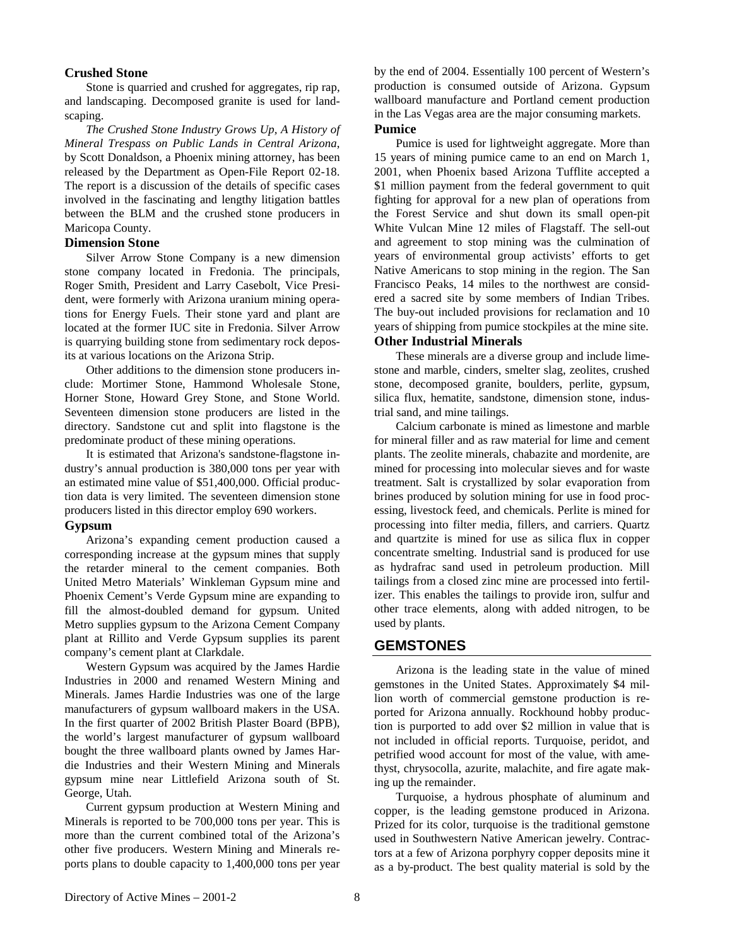## **Crushed Stone**

Stone is quarried and crushed for aggregates, rip rap, and landscaping. Decomposed granite is used for landscaping.

*The Crushed Stone Industry Grows Up, A History of Mineral Trespass on Public Lands in Central Arizona*, by Scott Donaldson, a Phoenix mining attorney, has been released by the Department as Open-File Report 02-18. The report is a discussion of the details of specific cases involved in the fascinating and lengthy litigation battles between the BLM and the crushed stone producers in Maricopa County.

## **Dimension Stone**

Silver Arrow Stone Company is a new dimension stone company located in Fredonia. The principals, Roger Smith, President and Larry Casebolt, Vice President, were formerly with Arizona uranium mining operations for Energy Fuels. Their stone yard and plant are located at the former IUC site in Fredonia. Silver Arrow is quarrying building stone from sedimentary rock deposits at various locations on the Arizona Strip.

Other additions to the dimension stone producers include: Mortimer Stone, Hammond Wholesale Stone, Horner Stone, Howard Grey Stone, and Stone World. Seventeen dimension stone producers are listed in the directory. Sandstone cut and split into flagstone is the predominate product of these mining operations.

It is estimated that Arizona's sandstone-flagstone industry's annual production is 380,000 tons per year with an estimated mine value of \$51,400,000. Official production data is very limited. The seventeen dimension stone producers listed in this director employ 690 workers.

## **Gypsum**

Arizona's expanding cement production caused a corresponding increase at the gypsum mines that supply the retarder mineral to the cement companies. Both United Metro Materials' Winkleman Gypsum mine and Phoenix Cement's Verde Gypsum mine are expanding to fill the almost-doubled demand for gypsum. United Metro supplies gypsum to the Arizona Cement Company plant at Rillito and Verde Gypsum supplies its parent company's cement plant at Clarkdale.

Western Gypsum was acquired by the James Hardie Industries in 2000 and renamed Western Mining and Minerals. James Hardie Industries was one of the large manufacturers of gypsum wallboard makers in the USA. In the first quarter of 2002 British Plaster Board (BPB), the world's largest manufacturer of gypsum wallboard bought the three wallboard plants owned by James Hardie Industries and their Western Mining and Minerals gypsum mine near Littlefield Arizona south of St. George, Utah.

Current gypsum production at Western Mining and Minerals is reported to be 700,000 tons per year. This is more than the current combined total of the Arizona's other five producers. Western Mining and Minerals reports plans to double capacity to 1,400,000 tons per year by the end of 2004. Essentially 100 percent of Western's production is consumed outside of Arizona. Gypsum wallboard manufacture and Portland cement production in the Las Vegas area are the major consuming markets.

## **Pumice**

Pumice is used for lightweight aggregate. More than 15 years of mining pumice came to an end on March 1, 2001, when Phoenix based Arizona Tufflite accepted a \$1 million payment from the federal government to quit fighting for approval for a new plan of operations from the Forest Service and shut down its small open-pit White Vulcan Mine 12 miles of Flagstaff. The sell-out and agreement to stop mining was the culmination of years of environmental group activists' efforts to get Native Americans to stop mining in the region. The San Francisco Peaks, 14 miles to the northwest are considered a sacred site by some members of Indian Tribes. The buy-out included provisions for reclamation and 10 years of shipping from pumice stockpiles at the mine site.

## **Other Industrial Minerals**

These minerals are a diverse group and include limestone and marble, cinders, smelter slag, zeolites, crushed stone, decomposed granite, boulders, perlite, gypsum, silica flux, hematite, sandstone, dimension stone, industrial sand, and mine tailings.

Calcium carbonate is mined as limestone and marble for mineral filler and as raw material for lime and cement plants. The zeolite minerals, chabazite and mordenite, are mined for processing into molecular sieves and for waste treatment. Salt is crystallized by solar evaporation from brines produced by solution mining for use in food processing, livestock feed, and chemicals. Perlite is mined for processing into filter media, fillers, and carriers. Quartz and quartzite is mined for use as silica flux in copper concentrate smelting. Industrial sand is produced for use as hydrafrac sand used in petroleum production. Mill tailings from a closed zinc mine are processed into fertilizer. This enables the tailings to provide iron, sulfur and other trace elements, along with added nitrogen, to be used by plants.

## **GEMSTONES**

Arizona is the leading state in the value of mined gemstones in the United States. Approximately \$4 million worth of commercial gemstone production is reported for Arizona annually. Rockhound hobby production is purported to add over \$2 million in value that is not included in official reports. Turquoise, peridot, and petrified wood account for most of the value, with amethyst, chrysocolla, azurite, malachite, and fire agate making up the remainder.

Turquoise, a hydrous phosphate of aluminum and copper, is the leading gemstone produced in Arizona. Prized for its color, turquoise is the traditional gemstone used in Southwestern Native American jewelry. Contractors at a few of Arizona porphyry copper deposits mine it as a by-product. The best quality material is sold by the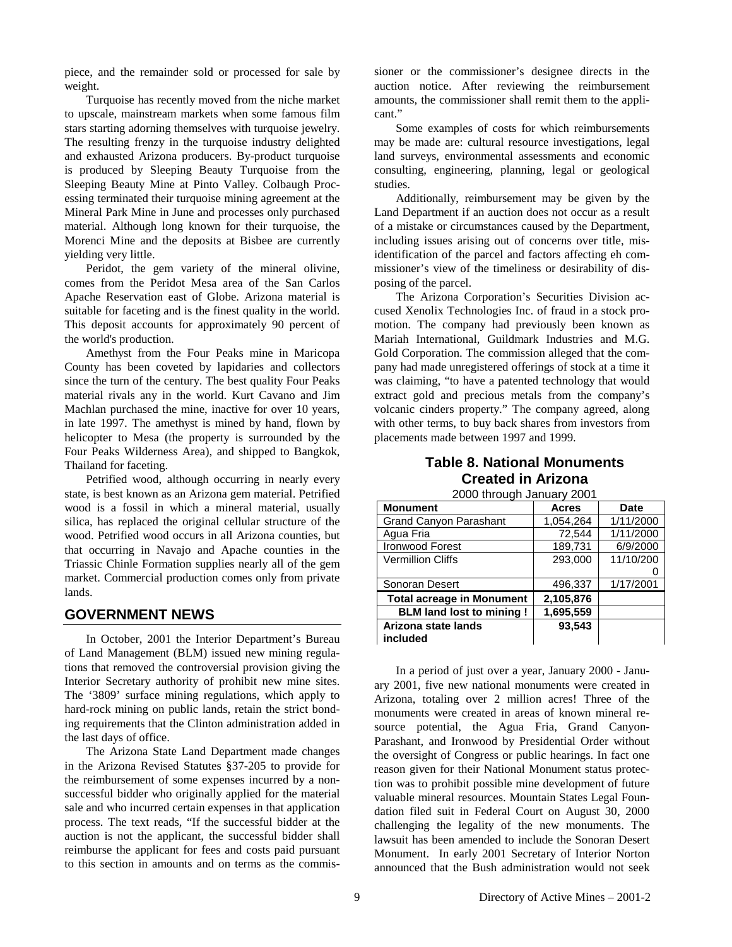piece, and the remainder sold or processed for sale by weight.

Turquoise has recently moved from the niche market to upscale, mainstream markets when some famous film stars starting adorning themselves with turquoise jewelry. The resulting frenzy in the turquoise industry delighted and exhausted Arizona producers. By-product turquoise is produced by Sleeping Beauty Turquoise from the Sleeping Beauty Mine at Pinto Valley. Colbaugh Processing terminated their turquoise mining agreement at the Mineral Park Mine in June and processes only purchased material. Although long known for their turquoise, the Morenci Mine and the deposits at Bisbee are currently yielding very little.

Peridot, the gem variety of the mineral olivine, comes from the Peridot Mesa area of the San Carlos Apache Reservation east of Globe. Arizona material is suitable for faceting and is the finest quality in the world. This deposit accounts for approximately 90 percent of the world's production.

Amethyst from the Four Peaks mine in Maricopa County has been coveted by lapidaries and collectors since the turn of the century. The best quality Four Peaks material rivals any in the world. Kurt Cavano and Jim Machlan purchased the mine, inactive for over 10 years, in late 1997. The amethyst is mined by hand, flown by helicopter to Mesa (the property is surrounded by the Four Peaks Wilderness Area), and shipped to Bangkok, Thailand for faceting.

Petrified wood, although occurring in nearly every state, is best known as an Arizona gem material. Petrified wood is a fossil in which a mineral material, usually silica, has replaced the original cellular structure of the wood. Petrified wood occurs in all Arizona counties, but that occurring in Navajo and Apache counties in the Triassic Chinle Formation supplies nearly all of the gem market. Commercial production comes only from private lands.

## **GOVERNMENT NEWS**

In October, 2001 the Interior Department's Bureau of Land Management (BLM) issued new mining regulations that removed the controversial provision giving the Interior Secretary authority of prohibit new mine sites. The '3809' surface mining regulations, which apply to hard-rock mining on public lands, retain the strict bonding requirements that the Clinton administration added in the last days of office.

The Arizona State Land Department made changes in the Arizona Revised Statutes §37-205 to provide for the reimbursement of some expenses incurred by a nonsuccessful bidder who originally applied for the material sale and who incurred certain expenses in that application process. The text reads, "If the successful bidder at the auction is not the applicant, the successful bidder shall reimburse the applicant for fees and costs paid pursuant to this section in amounts and on terms as the commissioner or the commissioner's designee directs in the auction notice. After reviewing the reimbursement amounts, the commissioner shall remit them to the applicant."

Some examples of costs for which reimbursements may be made are: cultural resource investigations, legal land surveys, environmental assessments and economic consulting, engineering, planning, legal or geological studies.

Additionally, reimbursement may be given by the Land Department if an auction does not occur as a result of a mistake or circumstances caused by the Department, including issues arising out of concerns over title, misidentification of the parcel and factors affecting eh commissioner's view of the timeliness or desirability of disposing of the parcel.

The Arizona Corporation's Securities Division accused Xenolix Technologies Inc. of fraud in a stock promotion. The company had previously been known as Mariah International, Guildmark Industries and M.G. Gold Corporation. The commission alleged that the company had made unregistered offerings of stock at a time it was claiming, "to have a patented technology that would extract gold and precious metals from the company's volcanic cinders property." The company agreed, along with other terms, to buy back shares from investors from placements made between 1997 and 1999.

# **Table 8. National Monuments Created in Arizona**

| <u>ZUUU infough January ZUU f</u> |              |           |  |  |  |
|-----------------------------------|--------------|-----------|--|--|--|
| <b>Monument</b>                   | <b>Acres</b> | Date      |  |  |  |
| <b>Grand Canyon Parashant</b>     | 1,054,264    | 1/11/2000 |  |  |  |
| Agua Fria                         | 72,544       | 1/11/2000 |  |  |  |
| Ironwood Forest                   | 189,731      | 6/9/2000  |  |  |  |
| <b>Vermillion Cliffs</b>          | 293.000      | 11/10/200 |  |  |  |
|                                   |              |           |  |  |  |
| Sonoran Desert                    | 496,337      | 1/17/2001 |  |  |  |
| <b>Total acreage in Monument</b>  | 2,105,876    |           |  |  |  |
| <b>BLM land lost to mining!</b>   | 1,695,559    |           |  |  |  |
| Arizona state lands               | 93,543       |           |  |  |  |
| included                          |              |           |  |  |  |

2000 through January 2001

In a period of just over a year, January 2000 - January 2001, five new national monuments were created in Arizona, totaling over 2 million acres! Three of the monuments were created in areas of known mineral resource potential, the Agua Fria, Grand Canyon-Parashant, and Ironwood by Presidential Order without the oversight of Congress or public hearings. In fact one reason given for their National Monument status protection was to prohibit possible mine development of future valuable mineral resources. Mountain States Legal Foundation filed suit in Federal Court on August 30, 2000 challenging the legality of the new monuments. The lawsuit has been amended to include the Sonoran Desert Monument. In early 2001 Secretary of Interior Norton announced that the Bush administration would not seek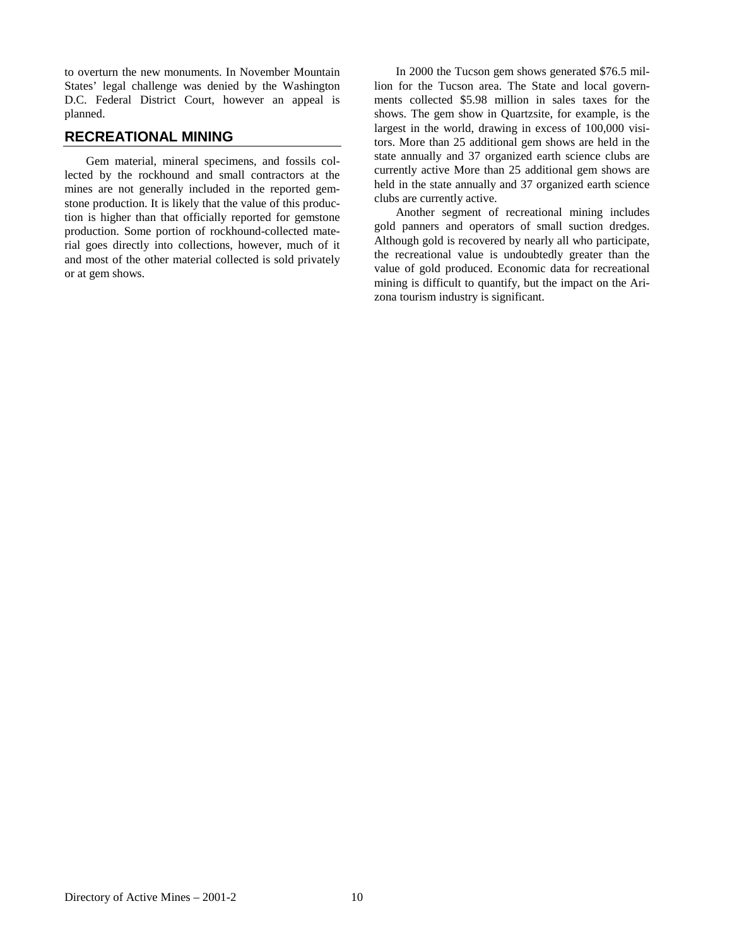to overturn the new monuments. In November Mountain States' legal challenge was denied by the Washington D.C. Federal District Court, however an appeal is planned.

## **RECREATIONAL MINING**

Gem material, mineral specimens, and fossils collected by the rockhound and small contractors at the mines are not generally included in the reported gemstone production. It is likely that the value of this production is higher than that officially reported for gemstone production. Some portion of rockhound-collected material goes directly into collections, however, much of it and most of the other material collected is sold privately or at gem shows.

In 2000 the Tucson gem shows generated \$76.5 million for the Tucson area. The State and local governments collected \$5.98 million in sales taxes for the shows. The gem show in Quartzsite, for example, is the largest in the world, drawing in excess of 100,000 visitors. More than 25 additional gem shows are held in the state annually and 37 organized earth science clubs are currently active More than 25 additional gem shows are held in the state annually and 37 organized earth science clubs are currently active.

Another segment of recreational mining includes gold panners and operators of small suction dredges. Although gold is recovered by nearly all who participate, the recreational value is undoubtedly greater than the value of gold produced. Economic data for recreational mining is difficult to quantify, but the impact on the Arizona tourism industry is significant.